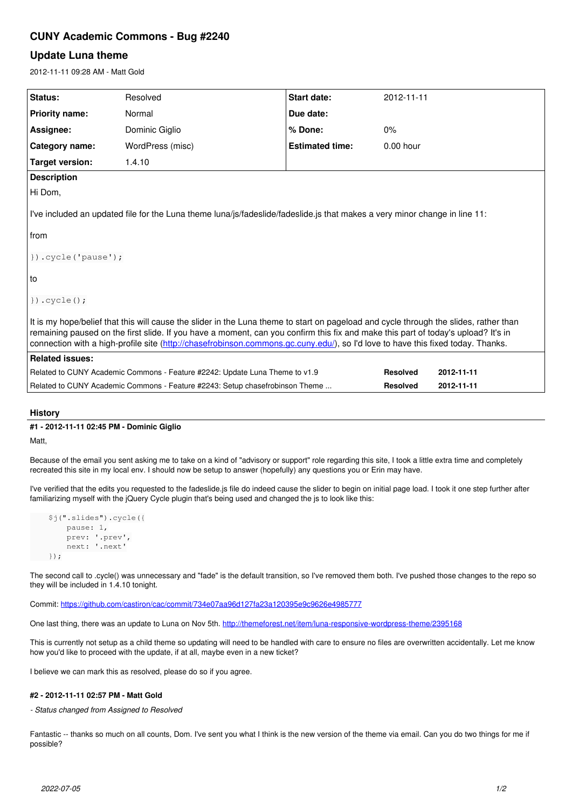# **CUNY Academic Commons - Bug #2240**

# **Update Luna theme**

2012-11-11 09:28 AM - Matt Gold

| Status:                                                                                                                                                                                                                                                                                                                                                                                                       | Resolved         | Start date:            | 2012-11-11      |            |
|---------------------------------------------------------------------------------------------------------------------------------------------------------------------------------------------------------------------------------------------------------------------------------------------------------------------------------------------------------------------------------------------------------------|------------------|------------------------|-----------------|------------|
| <b>Priority name:</b>                                                                                                                                                                                                                                                                                                                                                                                         | Normal           | Due date:              |                 |            |
| Assignee:                                                                                                                                                                                                                                                                                                                                                                                                     | Dominic Giglio   | % Done:                | 0%              |            |
| Category name:                                                                                                                                                                                                                                                                                                                                                                                                | WordPress (misc) | <b>Estimated time:</b> | $0.00$ hour     |            |
| <b>Target version:</b>                                                                                                                                                                                                                                                                                                                                                                                        | 1.4.10           |                        |                 |            |
| <b>Description</b>                                                                                                                                                                                                                                                                                                                                                                                            |                  |                        |                 |            |
| Hi Dom,                                                                                                                                                                                                                                                                                                                                                                                                       |                  |                        |                 |            |
| I've included an updated file for the Luna theme luna/js/fadeslide/fadeslide.js that makes a very minor change in line 11:                                                                                                                                                                                                                                                                                    |                  |                        |                 |            |
| from                                                                                                                                                                                                                                                                                                                                                                                                          |                  |                        |                 |            |
| $\})$ .cycle('pause');                                                                                                                                                                                                                                                                                                                                                                                        |                  |                        |                 |            |
| to                                                                                                                                                                                                                                                                                                                                                                                                            |                  |                        |                 |            |
| $\})$ .cycle $()$ ;                                                                                                                                                                                                                                                                                                                                                                                           |                  |                        |                 |            |
| It is my hope/belief that this will cause the slider in the Luna theme to start on pageload and cycle through the slides, rather than<br>remaining paused on the first slide. If you have a moment, can you confirm this fix and make this part of today's upload? It's in<br>connection with a high-profile site (http://chasefrobinson.commons.gc.cuny.edu/), so I'd love to have this fixed today. Thanks. |                  |                        |                 |            |
| <b>Related issues:</b>                                                                                                                                                                                                                                                                                                                                                                                        |                  |                        |                 |            |
| Related to CUNY Academic Commons - Feature #2242: Update Luna Theme to v1.9<br><b>Resolved</b><br>2012-11-11                                                                                                                                                                                                                                                                                                  |                  |                        |                 |            |
| Related to CUNY Academic Commons - Feature #2243: Setup chasefrobinson Theme                                                                                                                                                                                                                                                                                                                                  |                  |                        | <b>Resolved</b> | 2012-11-11 |

## **History**

### **#1 - 2012-11-11 02:45 PM - Dominic Giglio**

Matt,

Because of the email you sent asking me to take on a kind of "advisory or support" role regarding this site, I took a little extra time and completely recreated this site in my local env. I should now be setup to answer (hopefully) any questions you or Erin may have.

I've verified that the edits you requested to the fadeslide.js file do indeed cause the slider to begin on initial page load. I took it one step further after familiarizing myself with the jQuery Cycle plugin that's being used and changed the js to look like this:

```
    $j(".slides").cycle({
          pause: 1,
          prev: '.prev',
          next: '.next'
});
```
The second call to .cycle() was unnecessary and "fade" is the default transition, so I've removed them both. I've pushed those changes to the repo so they will be included in 1.4.10 tonight.

Commit:<https://github.com/castiron/cac/commit/734e07aa96d127fa23a120395e9c9626e4985777>

One last thing, there was an update to Luna on Nov 5th. <http://themeforest.net/item/luna-responsive-wordpress-theme/2395168>

This is currently not setup as a child theme so updating will need to be handled with care to ensure no files are overwritten accidentally. Let me know how you'd like to proceed with the update, if at all, maybe even in a new ticket?

I believe we can mark this as resolved, please do so if you agree.

#### **#2 - 2012-11-11 02:57 PM - Matt Gold**

*- Status changed from Assigned to Resolved*

Fantastic -- thanks so much on all counts, Dom. I've sent you what I think is the new version of the theme via email. Can you do two things for me if possible?